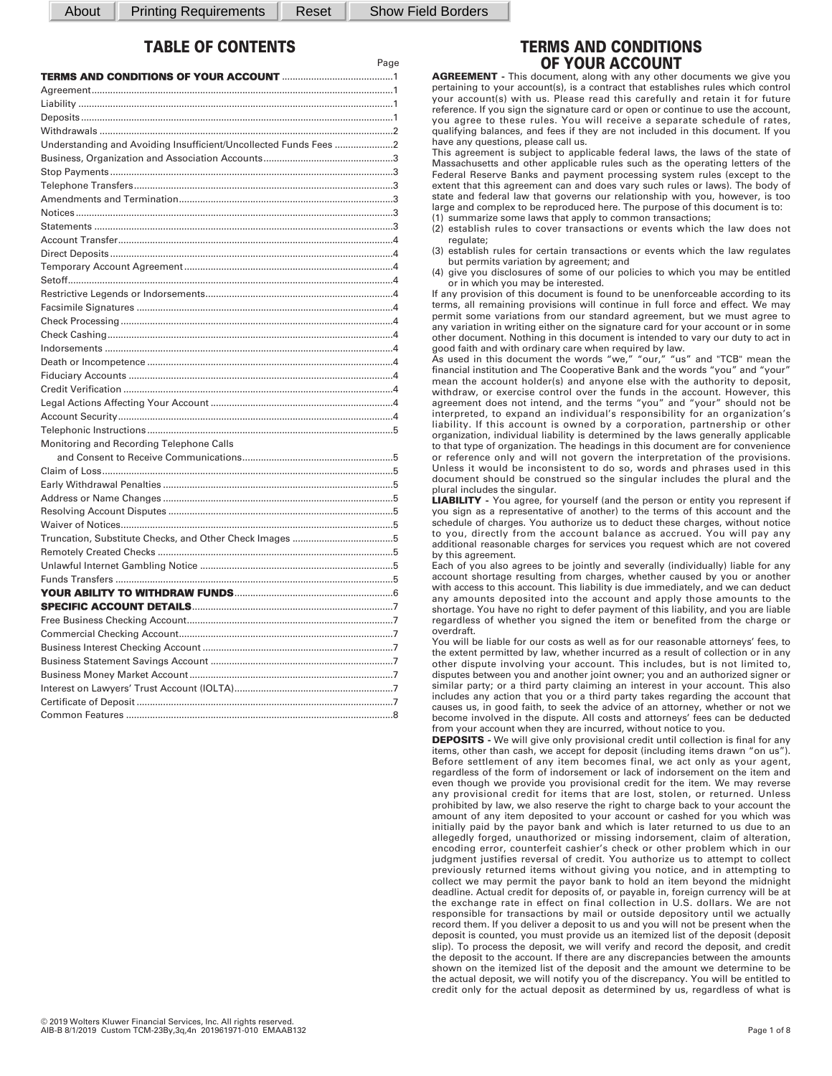About | Printing Requirements | Reset | Show Field Borders

Page

# **TABLE OF CONTENTS**

| Understanding and Avoiding Insufficient/Uncollected Funds Fees 2 |  |
|------------------------------------------------------------------|--|
|                                                                  |  |
|                                                                  |  |
|                                                                  |  |
|                                                                  |  |
|                                                                  |  |
|                                                                  |  |
|                                                                  |  |
|                                                                  |  |
|                                                                  |  |
|                                                                  |  |
|                                                                  |  |
|                                                                  |  |
|                                                                  |  |
|                                                                  |  |
|                                                                  |  |
|                                                                  |  |
|                                                                  |  |
|                                                                  |  |
|                                                                  |  |
|                                                                  |  |
|                                                                  |  |
| Monitoring and Recording Telephone Calls                         |  |
|                                                                  |  |
|                                                                  |  |
|                                                                  |  |
|                                                                  |  |
|                                                                  |  |
|                                                                  |  |
| Truncation, Substitute Checks, and Other Check Images 5          |  |
|                                                                  |  |
|                                                                  |  |
|                                                                  |  |
|                                                                  |  |
|                                                                  |  |
|                                                                  |  |
|                                                                  |  |
|                                                                  |  |
|                                                                  |  |
|                                                                  |  |
|                                                                  |  |
|                                                                  |  |
|                                                                  |  |
|                                                                  |  |

# **TERMS AND CONDITIONS OF YOUR ACCOUNT**

**AGREEMENT -** This document, along with any other documents we give you pertaining to your account(s), is a contract that establishes rules which control your account(s) with us. Please read this carefully and retain it for future reference. If you sign the signature card or open or continue to use the account, you agree to these rules. You will receive a separate schedule of rates, qualifying balances, and fees if they are not included in this document. If you have any questions, please call us.

This agreement is subject to applicable federal laws, the laws of the state of Massachusetts and other applicable rules such as the operating letters of the Federal Reserve Banks and payment processing system rules (except to the extent that this agreement can and does vary such rules or laws). The body of state and federal law that governs our relationship with you, however, is too large and complex to be reproduced here. The purpose of this document is to: (1) summarize some laws that apply to common transactions;

(2) establish rules to cover transactions or events which the law does not regulate;

(3) establish rules for certain transactions or events which the law regulates but permits variation by agreement; and

(4) give you disclosures of some of our policies to which you may be entitled or in which you may be interested.

If any provision of this document is found to be unenforceable according to its terms, all remaining provisions will continue in full force and effect. We may permit some variations from our standard agreement, but we must agree to any variation in writing either on the signature card for your account or in some other document. Nothing in this document is intended to vary our duty to act in good faith and with ordinary care when required by law.

As used in this document the words "we," "our," "us" and "TCB" mean the financial institution and The Cooperative Bank and the words "you" and "your" mean the account holder(s) and anyone else with the authority to deposit, withdraw, or exercise control over the funds in the account. However, this agreement does not intend, and the terms "you" and "your" should not be interpreted, to expand an individual's responsibility for an organization's liability. If this account is owned by a corporation, partnership or other organization, individual liability is determined by the laws generally applicable to that type of organization. The headings in this document are for convenience or reference only and will not govern the interpretation of the provisions. Unless it would be inconsistent to do so, words and phrases used in this document should be construed so the singular includes the plural and the plural includes the singular.

**LIABILITY -** You agree, for yourself (and the person or entity you represent if you sign as a representative of another) to the terms of this account and the schedule of charges. You authorize us to deduct these charges, without notice to you, directly from the account balance as accrued. You will pay any additional reasonable charges for services you request which are not covered by this agreement.

Each of you also agrees to be jointly and severally (individually) liable for any account shortage resulting from charges, whether caused by you or another with access to this account. This liability is due immediately, and we can deduct any amounts deposited into the account and apply those amounts to the shortage. You have no right to defer payment of this liability, and you are liable regardless of whether you signed the item or benefited from the charge or overdraft.

You will be liable for our costs as well as for our reasonable attorneys' fees, to the extent permitted by law, whether incurred as a result of collection or in any other dispute involving your account. This includes, but is not limited to, disputes between you and another joint owner; you and an authorized signer or similar party; or a third party claiming an interest in your account. This also includes any action that you or a third party takes regarding the account that causes us, in good faith, to seek the advice of an attorney, whether or not we become involved in the dispute. All costs and attorneys' fees can be deducted from your account when they are incurred, without notice to you.

**DEPOSITS** - We will give only provisional credit until collection is final for any items, other than cash, we accept for deposit (including items drawn "on us"). Before settlement of any item becomes final, we act only as your agent, regardless of the form of indorsement or lack of indorsement on the item and even though we provide you provisional credit for the item. We may reverse any provisional credit for items that are lost, stolen, or returned. Unless prohibited by law, we also reserve the right to charge back to your account the amount of any item deposited to your account or cashed for you which was initially paid by the payor bank and which is later returned to us due to an allegedly forged, unauthorized or missing indorsement, claim of alteration, encoding error, counterfeit cashier's check or other problem which in our judgment justifies reversal of credit. You authorize us to attempt to collect previously returned items without giving you notice, and in attempting to collect we may permit the payor bank to hold an item beyond the midnight deadline. Actual credit for deposits of, or payable in, foreign currency will be at the exchange rate in effect on final collection in U.S. dollars. We are not responsible for transactions by mail or outside depository until we actually record them. If you deliver a deposit to us and you will not be present when the deposit is counted, you must provide us an itemized list of the deposit (deposit slip). To process the deposit, we will verify and record the deposit, and credit the deposit to the account. If there are any discrepancies between the amounts shown on the itemized list of the deposit and the amount we determine to be the actual deposit, we will notify you of the discrepancy. You will be entitled to credit only for the actual deposit as determined by us, regardless of what is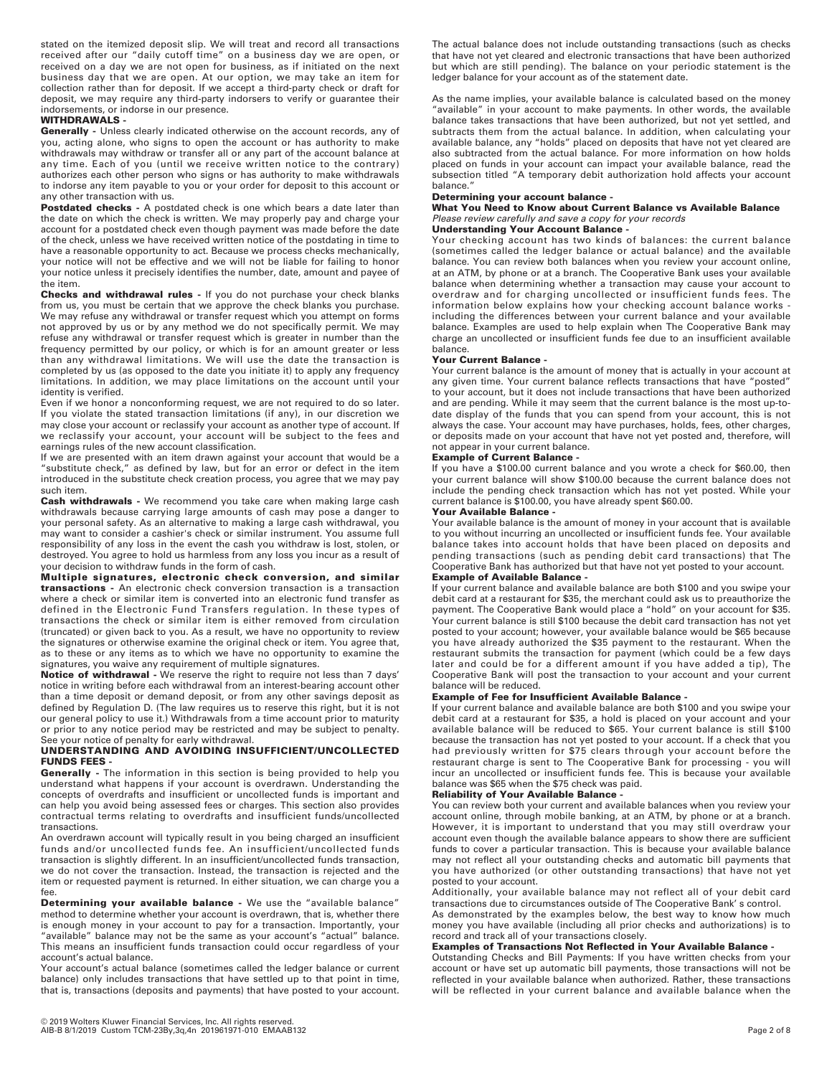stated on the itemized deposit slip. We will treat and record all transactions received after our "daily cutoff time" on a business day we are open, or received on a day we are not open for business, as if initiated on the next business day that we are open. At our option, we may take an item for collection rather than for deposit. If we accept a third-party check or draft for deposit, we may require any third-party indorsers to verify or guarantee their indorsements, or indorse in our presence.

### **WITHDRAWALS -**

**Generally -** Unless clearly indicated otherwise on the account records, any of you, acting alone, who signs to open the account or has authority to make withdrawals may withdraw or transfer all or any part of the account balance at any time. Each of you (until we receive written notice to the contrary) authorizes each other person who signs or has authority to make withdrawals to indorse any item payable to you or your order for deposit to this account or any other transaction with us.

Postdated checks - A postdated check is one which bears a date later than the date on which the check is written. We may properly pay and charge your account for a postdated check even though payment was made before the date of the check, unless we have received written notice of the postdating in time to have a reasonable opportunity to act. Because we process checks mechanically, your notice will not be effective and we will not be liable for failing to honor your notice unless it precisely identifies the number, date, amount and payee of the item.

**Checks and withdrawal rules -** If you do not purchase your check blanks from us, you must be certain that we approve the check blanks you purchase. We may refuse any withdrawal or transfer request which you attempt on forms not approved by us or by any method we do not specifically permit. We may refuse any withdrawal or transfer request which is greater in number than the frequency permitted by our policy, or which is for an amount greater or less than any withdrawal limitations. We will use the date the transaction is completed by us (as opposed to the date you initiate it) to apply any frequency limitations. In addition, we may place limitations on the account until your identity is verified.

Even if we honor a nonconforming request, we are not required to do so later. If you violate the stated transaction limitations (if any), in our discretion we may close your account or reclassify your account as another type of account. If we reclassify your account, your account will be subject to the fees and earnings rules of the new account classification.

If we are presented with an item drawn against your account that would be a "substitute check," as defined by law, but for an error or defect in the item introduced in the substitute check creation process, you agree that we may pay such item.

**Cash withdrawals -** We recommend you take care when making large cash withdrawals because carrying large amounts of cash may pose a danger to your personal safety. As an alternative to making a large cash withdrawal, you may want to consider a cashier's check or similar instrument. You assume full responsibility of any loss in the event the cash you withdraw is lost, stolen, or destroyed. You agree to hold us harmless from any loss you incur as a result of your decision to withdraw funds in the form of cash.

**Multiple signatures, electronic check conversion, and similar transactions -** An electronic check conversion transaction is a transaction where a check or similar item is converted into an electronic fund transfer as defined in the Electronic Fund Transfers regulation. In these types of transactions the check or similar item is either removed from circulation (truncated) or given back to you. As a result, we have no opportunity to review the signatures or otherwise examine the original check or item. You agree that, as to these or any items as to which we have no opportunity to examine the signatures, you waive any requirement of multiple signatures.

**Notice of withdrawal -** We reserve the right to require not less than 7 days' notice in writing before each withdrawal from an interest-bearing account other than a time deposit or demand deposit, or from any other savings deposit as defined by Regulation D. (The law requires us to reserve this right, but it is not our general policy to use it.) Withdrawals from a time account prior to maturity or prior to any notice period may be restricted and may be subject to penalty. See your notice of penalty for early withdrawal.

### **UNDERSTANDING AND AVOIDING INSUFFICIENT/UNCOLLECTED FUNDS FEES -**

**Generally -** The information in this section is being provided to help you understand what happens if your account is overdrawn. Understanding the concepts of overdrafts and insufficient or uncollected funds is important and can help you avoid being assessed fees or charges. This section also provides contractual terms relating to overdrafts and insufficient funds/uncollected transactions.

An overdrawn account will typically result in you being charged an insufficient funds and/or uncollected funds fee. An insufficient/uncollected funds transaction is slightly different. In an insufficient/uncollected funds transaction, we do not cover the transaction. Instead, the transaction is rejected and the item or requested payment is returned. In either situation, we can charge you a fee.

**Determining your available balance -** We use the "available balance" method to determine whether your account is overdrawn, that is, whether there is enough money in your account to pay for a transaction. Importantly, your "available" balance may not be the same as your account's "actual" balance. This means an insufficient funds transaction could occur regardless of your account's actual balance.

Your account's actual balance (sometimes called the ledger balance or current balance) only includes transactions that have settled up to that point in time, that is, transactions (deposits and payments) that have posted to your account.

The actual balance does not include outstanding transactions (such as checks that have not yet cleared and electronic transactions that have been authorized but which are still pending). The balance on your periodic statement is the ledger balance for your account as of the statement date.

As the name implies, your available balance is calculated based on the money "available" in your account to make payments. In other words, the available balance takes transactions that have been authorized, but not yet settled, and subtracts them from the actual balance. In addition, when calculating your available balance, any "holds" placed on deposits that have not yet cleared are also subtracted from the actual balance. For more information on how holds placed on funds in your account can impact your available balance, read the subsection titled "A temporary debit authorization hold affects your account balance."

### **Determining your account balance -**

**What You Need to Know about Current Balance vs Available Balance**  *Please review carefully and save a copy for your records* 

**Understanding Your Account Balance -** 

Your checking account has two kinds of balances: the current balance (sometimes called the ledger balance or actual balance) and the available balance. You can review both balances when you review your account online, at an ATM, by phone or at a branch. The Cooperative Bank uses your available balance when determining whether a transaction may cause your account to overdraw and for charging uncollected or insufficient funds fees. The information below explains how your checking account balance works including the differences between your current balance and your available balance. Examples are used to help explain when The Cooperative Bank may charge an uncollected or insufficient funds fee due to an insufficient available balance.

### **Your Current Balance -**

Your current balance is the amount of money that is actually in your account at any given time. Your current balance reflects transactions that have "posted" to your account, but it does not include transactions that have been authorized and are pending. While it may seem that the current balance is the most up-todate display of the funds that you can spend from your account, this is not always the case. Your account may have purchases, holds, fees, other charges, or deposits made on your account that have not yet posted and, therefore, will not appear in your current balance.

### **Example of Current Balance -**

If you have a \$100.00 current balance and you wrote a check for \$60.00, then your current balance will show \$100.00 because the current balance does not include the pending check transaction which has not yet posted. While your current balance is \$100.00, you have already spent \$60.00.

### **Your Available Balance -**

Your available balance is the amount of money in your account that is available to you without incurring an uncollected or insufficient funds fee. Your available balance takes into account holds that have been placed on deposits and pending transactions (such as pending debit card transactions) that The Cooperative Bank has authorized but that have not yet posted to your account.

# **Example of Available Balance -**

If your current balance and available balance are both \$100 and you swipe your debit card at a restaurant for \$35, the merchant could ask us to preauthorize the payment. The Cooperative Bank would place a "hold" on your account for \$35. Your current balance is still \$100 because the debit card transaction has not yet posted to your account; however, your available balance would be \$65 because you have already authorized the \$35 payment to the restaurant. When the restaurant submits the transaction for payment (which could be a few days later and could be for a different amount if you have added a tip), The Cooperative Bank will post the transaction to your account and your current balance will be reduced.

# **Example of Fee for Insufficient Available Balance -**

If your current balance and available balance are both \$100 and you swipe your debit card at a restaurant for \$35, a hold is placed on your account and your available balance will be reduced to \$65. Your current balance is still \$100 because the transaction has not yet posted to your account. If a check that you had previously written for \$75 clears through your account before the restaurant charge is sent to The Cooperative Bank for processing - you will incur an uncollected or insufficient funds fee. This is because your available balance was \$65 when the \$75 check was paid.

### **Reliability of Your Available Balance -**

You can review both your current and available balances when you review your account online, through mobile banking, at an ATM, by phone or at a branch. However, it is important to understand that you may still overdraw your account even though the available balance appears to show there are sufficient funds to cover a particular transaction. This is because your available balance may not reflect all your outstanding checks and automatic bill payments that you have authorized (or other outstanding transactions) that have not yet posted to your account.

Additionally, your available balance may not reflect all of your debit card transactions due to circumstances outside of The Cooperative Bank' s control.

As demonstrated by the examples below, the best way to know how much money you have available (including all prior checks and authorizations) is to record and track all of your transactions closely.

# **Examples of Transactions Not Reflected in Your Available Balance -**

Outstanding Checks and Bill Payments: If you have written checks from your account or have set up automatic bill payments, those transactions will not be reflected in your available balance when authorized. Rather, these transactions will be reflected in your current balance and available balance when the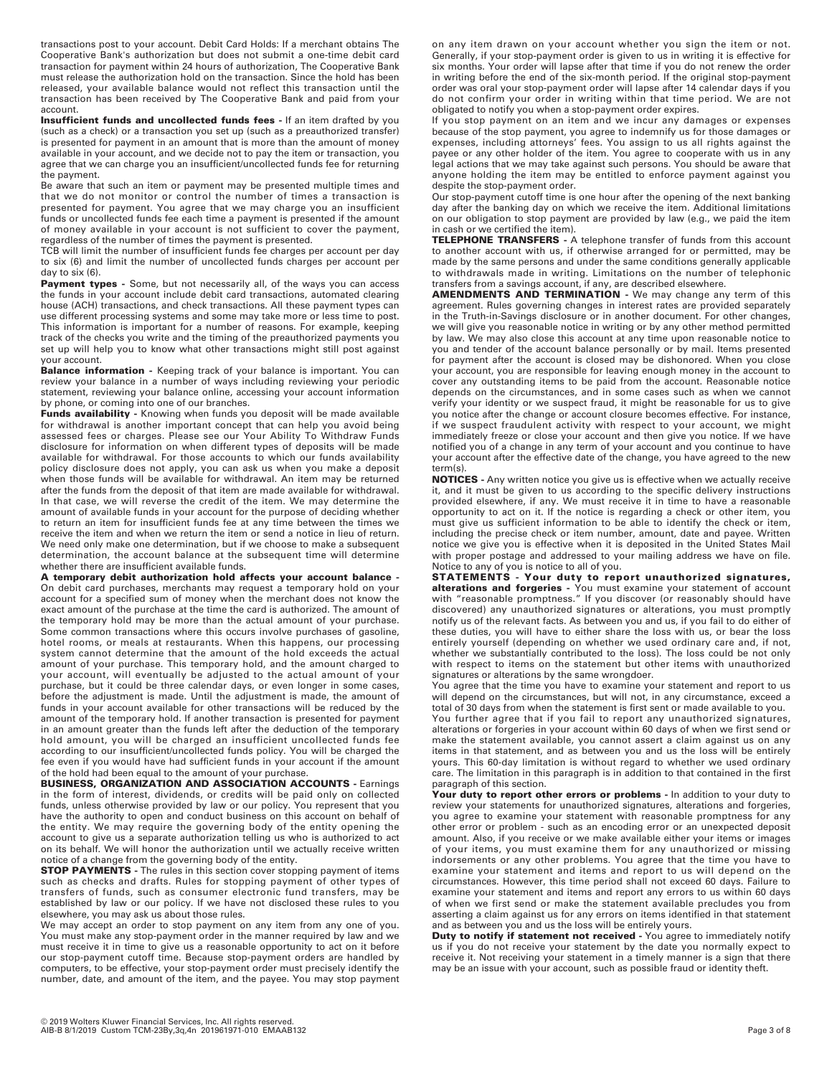transactions post to your account. Debit Card Holds: If a merchant obtains The Cooperative Bank's authorization but does not submit a one-time debit card transaction for payment within 24 hours of authorization, The Cooperative Bank must release the authorization hold on the transaction. Since the hold has been released, your available balance would not reflect this transaction until the transaction has been received by The Cooperative Bank and paid from your account.

**Insufficient funds and uncollected funds fees -** If an item drafted by you (such as a check) or a transaction you set up (such as a preauthorized transfer) is presented for payment in an amount that is more than the amount of money available in your account, and we decide not to pay the item or transaction, you agree that we can charge you an insufficient/uncollected funds fee for returning the payment.

Be aware that such an item or payment may be presented multiple times and that we do not monitor or control the number of times a transaction is presented for payment. You agree that we may charge you an insufficient funds or uncollected funds fee each time a payment is presented if the amount of money available in your account is not sufficient to cover the payment, regardless of the number of times the payment is presented.

TCB will limit the number of insufficient funds fee charges per account per day to six (6) and limit the number of uncollected funds charges per account per day to six (6).

Payment types - Some, but not necessarily all, of the ways you can access the funds in your account include debit card transactions, automated clearing house (ACH) transactions, and check transactions. All these payment types can use different processing systems and some may take more or less time to post. This information is important for a number of reasons. For example, keeping track of the checks you write and the timing of the preauthorized payments you set up will help you to know what other transactions might still post against your account.

**Balance information -** Keeping track of your balance is important. You can review your balance in a number of ways including reviewing your periodic statement, reviewing your balance online, accessing your account information by phone, or coming into one of our branches.

**Funds availability -** Knowing when funds you deposit will be made available for withdrawal is another important concept that can help you avoid being assessed fees or charges. Please see our Your Ability To Withdraw Funds disclosure for information on when different types of deposits will be made available for withdrawal. For those accounts to which our funds availability policy disclosure does not apply, you can ask us when you make a deposit when those funds will be available for withdrawal. An item may be returned after the funds from the deposit of that item are made available for withdrawal. In that case, we will reverse the credit of the item. We may determine the amount of available funds in your account for the purpose of deciding whether to return an item for insufficient funds fee at any time between the times we receive the item and when we return the item or send a notice in lieu of return. We need only make one determination, but if we choose to make a subsequent determination, the account balance at the subsequent time will determine whether there are insufficient available funds.

**A temporary debit authorization hold affects your account balance -** On debit card purchases, merchants may request a temporary hold on your account for a specified sum of money when the merchant does not know the exact amount of the purchase at the time the card is authorized. The amount of the temporary hold may be more than the actual amount of your purchase. Some common transactions where this occurs involve purchases of gasoline, hotel rooms, or meals at restaurants. When this happens, our processing system cannot determine that the amount of the hold exceeds the actual amount of your purchase. This temporary hold, and the amount charged to your account, will eventually be adjusted to the actual amount of your purchase, but it could be three calendar days, or even longer in some cases, before the adjustment is made. Until the adjustment is made, the amount of funds in your account available for other transactions will be reduced by the amount of the temporary hold. If another transaction is presented for payment in an amount greater than the funds left after the deduction of the temporary hold amount, you will be charged an insufficient uncollected funds fee according to our insufficient/uncollected funds policy. You will be charged the fee even if you would have had sufficient funds in your account if the amount of the hold had been equal to the amount of your purchase.

**BUSINESS, ORGANIZATION AND ASSOCIATION ACCOUNTS -** Earnings in the form of interest, dividends, or credits will be paid only on collected funds, unless otherwise provided by law or our policy. You represent that you have the authority to open and conduct business on this account on behalf of the entity. We may require the governing body of the entity opening the account to give us a separate authorization telling us who is authorized to act on its behalf. We will honor the authorization until we actually receive written notice of a change from the governing body of the entity.

**STOP PAYMENTS -** The rules in this section cover stopping payment of items such as checks and drafts. Rules for stopping payment of other types of transfers of funds, such as consumer electronic fund transfers, may be established by law or our policy. If we have not disclosed these rules to you elsewhere, you may ask us about those rules.

We may accept an order to stop payment on any item from any one of you. You must make any stop-payment order in the manner required by law and we must receive it in time to give us a reasonable opportunity to act on it before our stop-payment cutoff time. Because stop-payment orders are handled by computers, to be effective, your stop-payment order must precisely identify the number, date, and amount of the item, and the payee. You may stop payment on any item drawn on your account whether you sign the item or not. Generally, if your stop-payment order is given to us in writing it is effective for six months. Your order will lapse after that time if you do not renew the order in writing before the end of the six-month period. If the original stop-payment order was oral your stop-payment order will lapse after 14 calendar days if you do not confirm your order in writing within that time period. We are not obligated to notify you when a stop-payment order expires.

If you stop payment on an item and we incur any damages or expenses because of the stop payment, you agree to indemnify us for those damages or expenses, including attorneys' fees. You assign to us all rights against the payee or any other holder of the item. You agree to cooperate with us in any legal actions that we may take against such persons. You should be aware that anyone holding the item may be entitled to enforce payment against you despite the stop-payment order.

Our stop-payment cutoff time is one hour after the opening of the next banking day after the banking day on which we receive the item. Additional limitations on our obligation to stop payment are provided by law (e.g., we paid the item in cash or we certified the item).

**TELEPHONE TRANSFERS -** A telephone transfer of funds from this account to another account with us, if otherwise arranged for or permitted, may be made by the same persons and under the same conditions generally applicable to withdrawals made in writing. Limitations on the number of telephonic transfers from a savings account, if any, are described elsewhere.

**AMENDMENTS AND TERMINATION -** We may change any term of this agreement. Rules governing changes in interest rates are provided separately in the Truth-in-Savings disclosure or in another document. For other changes, we will give you reasonable notice in writing or by any other method permitted by law. We may also close this account at any time upon reasonable notice to you and tender of the account balance personally or by mail. Items presented for payment after the account is closed may be dishonored. When you close your account, you are responsible for leaving enough money in the account to cover any outstanding items to be paid from the account. Reasonable notice depends on the circumstances, and in some cases such as when we cannot verify your identity or we suspect fraud, it might be reasonable for us to give you notice after the change or account closure becomes effective. For instance, if we suspect fraudulent activity with respect to your account, we might immediately freeze or close your account and then give you notice. If we have notified you of a change in any term of your account and you continue to have your account after the effective date of the change, you have agreed to the new term(s).

**NOTICES -** Any written notice you give us is effective when we actually receive it, and it must be given to us according to the specific delivery instructions provided elsewhere, if any. We must receive it in time to have a reasonable opportunity to act on it. If the notice is regarding a check or other item, you must give us sufficient information to be able to identify the check or item, including the precise check or item number, amount, date and payee. Written notice we give you is effective when it is deposited in the United States Mail with proper postage and addressed to your mailing address we have on file. Notice to any of you is notice to all of you.

**STATEMENTS - Your duty to report unauthorized signatures, alterations and forgeries -** You must examine your statement of account with "reasonable promptness." If you discover (or reasonably should have discovered) any unauthorized signatures or alterations, you must promptly notify us of the relevant facts. As between you and us, if you fail to do either of these duties, you will have to either share the loss with us, or bear the loss entirely yourself (depending on whether we used ordinary care and, if not, whether we substantially contributed to the loss). The loss could be not only with respect to items on the statement but other items with unauthorized signatures or alterations by the same wrongdoer.

You agree that the time you have to examine your statement and report to us will depend on the circumstances, but will not, in any circumstance, exceed a total of 30 days from when the statement is first sent or made available to you.

You further agree that if you fail to report any unauthorized signatures, alterations or forgeries in your account within 60 days of when we first send or make the statement available, you cannot assert a claim against us on any items in that statement, and as between you and us the loss will be entirely yours. This 60-day limitation is without regard to whether we used ordinary care. The limitation in this paragraph is in addition to that contained in the first paragraph of this section.

**Your duty to report other errors or problems -** In addition to your duty to review your statements for unauthorized signatures, alterations and forgeries, you agree to examine your statement with reasonable promptness for any other error or problem - such as an encoding error or an unexpected deposit amount. Also, if you receive or we make available either your items or images of your items, you must examine them for any unauthorized or missing indorsements or any other problems. You agree that the time you have to examine your statement and items and report to us will depend on the circumstances. However, this time period shall not exceed 60 days. Failure to examine your statement and items and report any errors to us within 60 days of when we first send or make the statement available precludes you from asserting a claim against us for any errors on items identified in that statement and as between you and us the loss will be entirely yours.

**Duty to notify if statement not received -** You agree to immediately notify us if you do not receive your statement by the date you normally expect to receive it. Not receiving your statement in a timely manner is a sign that there may be an issue with your account, such as possible fraud or identity theft.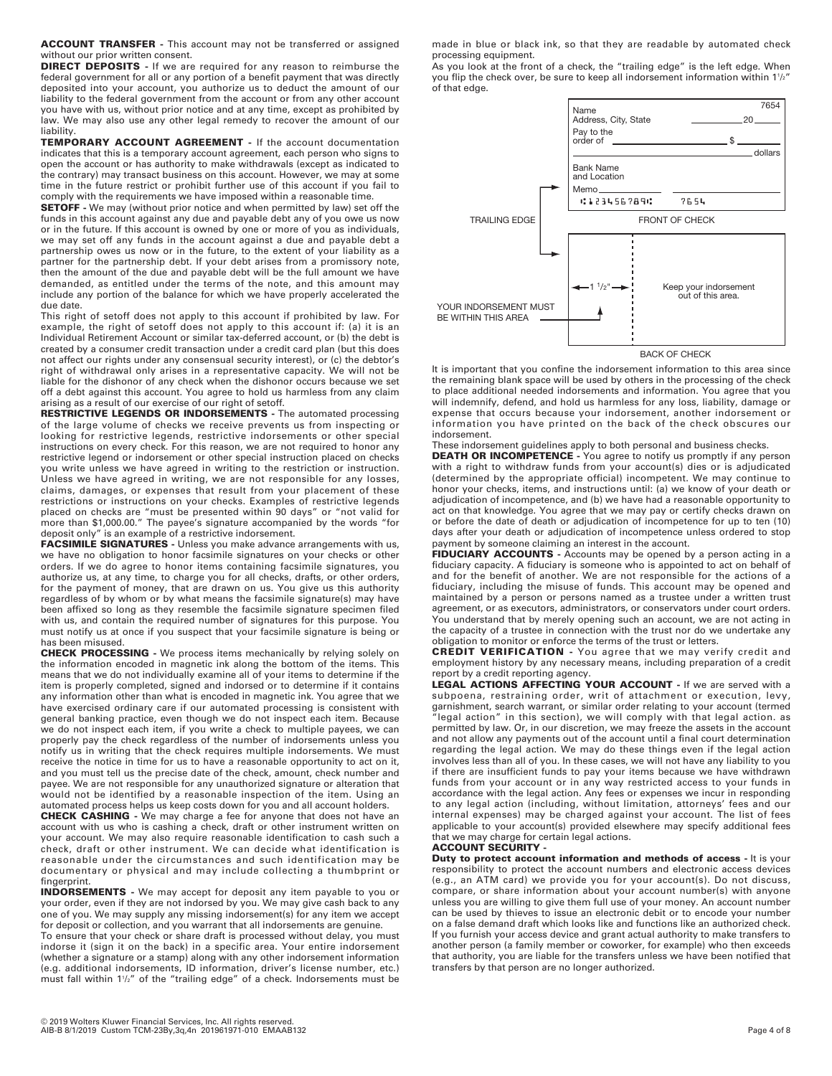**ACCOUNT TRANSFER -** This account may not be transferred or assigned without our prior written consent.

**DIRECT DEPOSITS -** If we are required for any reason to reimburse the federal government for all or any portion of a benefit payment that was directly deposited into your account, you authorize us to deduct the amount of our liability to the federal government from the account or from any other account you have with us, without prior notice and at any time, except as prohibited by law. We may also use any other legal remedy to recover the amount of our liability.

**TEMPORARY ACCOUNT AGREEMENT -** If the account documentation indicates that this is a temporary account agreement, each person who signs to open the account or has authority to make withdrawals (except as indicated to the contrary) may transact business on this account. However, we may at some time in the future restrict or prohibit further use of this account if you fail to comply with the requirements we have imposed within a reasonable time.

**SETOFF -** We may (without prior notice and when permitted by law) set off the funds in this account against any due and payable debt any of you owe us now or in the future. If this account is owned by one or more of you as individuals, we may set off any funds in the account against a due and payable debt a partnership owes us now or in the future, to the extent of your liability as a partner for the partnership debt. If your debt arises from a promissory note, then the amount of the due and payable debt will be the full amount we have demanded, as entitled under the terms of the note, and this amount may include any portion of the balance for which we have properly accelerated the due date.

This right of setoff does not apply to this account if prohibited by law. For example, the right of setoff does not apply to this account if: (a) it is an Individual Retirement Account or similar tax-deferred account, or (b) the debt is created by a consumer credit transaction under a credit card plan (but this does not affect our rights under any consensual security interest), or (c) the debtor's right of withdrawal only arises in a representative capacity. We will not be liable for the dishonor of any check when the dishonor occurs because we set off a debt against this account. You agree to hold us harmless from any claim arising as a result of our exercise of our right of setoff.

**RESTRICTIVE LEGENDS OR INDORSEMENTS -** The automated processing of the large volume of checks we receive prevents us from inspecting or looking for restrictive legends, restrictive indorsements or other special instructions on every check. For this reason, we are not required to honor any restrictive legend or indorsement or other special instruction placed on checks you write unless we have agreed in writing to the restriction or instruction. Unless we have agreed in writing, we are not responsible for any losses, claims, damages, or expenses that result from your placement of these restrictions or instructions on your checks. Examples of restrictive legends placed on checks are "must be presented within 90 days" or "not valid for more than \$1,000.00." The payee's signature accompanied by the words "for deposit only" is an example of a restrictive indorsement.

**FACSIMILE SIGNATURES -** Unless you make advance arrangements with us, we have no obligation to honor facsimile signatures on your checks or other orders. If we do agree to honor items containing facsimile signatures, you authorize us, at any time, to charge you for all checks, drafts, or other orders, for the payment of money, that are drawn on us. You give us this authority regardless of by whom or by what means the facsimile signature(s) may have been affixed so long as they resemble the facsimile signature specimen filed with us, and contain the required number of signatures for this purpose. You must notify us at once if you suspect that your facsimile signature is being or has been misused.

**CHECK PROCESSING -** We process items mechanically by relying solely on the information encoded in magnetic ink along the bottom of the items. This means that we do not individually examine all of your items to determine if the item is properly completed, signed and indorsed or to determine if it contains any information other than what is encoded in magnetic ink. You agree that we have exercised ordinary care if our automated processing is consistent with general banking practice, even though we do not inspect each item. Because we do not inspect each item, if you write a check to multiple payees, we can properly pay the check regardless of the number of indorsements unless you notify us in writing that the check requires multiple indorsements. We must receive the notice in time for us to have a reasonable opportunity to act on it, and you must tell us the precise date of the check, amount, check number and payee. We are not responsible for any unauthorized signature or alteration that would not be identified by a reasonable inspection of the item. Using an automated process helps us keep costs down for you and all account holders.

**CHECK CASHING -** We may charge a fee for anyone that does not have an account with us who is cashing a check, draft or other instrument written on your account. We may also require reasonable identification to cash such a check, draft or other instrument. We can decide what identification is reasonable under the circumstances and such identification may be documentary or physical and may include collecting a thumbprint or fingerprint.

**INDORSEMENTS -** We may accept for deposit any item payable to you or your order, even if they are not indorsed by you. We may give cash back to any one of you. We may supply any missing indorsement(s) for any item we accept for deposit or collection, and you warrant that all indorsements are genuine.

To ensure that your check or share draft is processed without delay, you must indorse it (sign it on the back) in a specific area. Your entire indorsement (whether a signature or a stamp) along with any other indorsement information (e.g. additional indorsements, ID information, driver's license number, etc.) must fall within 11 /2" of the "trailing edge" of a check. Indorsements must be made in blue or black ink, so that they are readable by automated check processing equipment.

As you look at the front of a check, the "trailing edge" is the left edge. When you flip the check over, be sure to keep all indorsement information within  $1\frac{1}{2}$ of that edge.



It is important that you confine the indorsement information to this area since the remaining blank space will be used by others in the processing of the check to place additional needed indorsements and information. You agree that you will indemnify, defend, and hold us harmless for any loss, liability, damage or expense that occurs because your indorsement, another indorsement or information you have printed on the back of the check obscures our indorsement.

These indorsement guidelines apply to both personal and business checks.

**DEATH OR INCOMPETENCE -** You agree to notify us promptly if any person with a right to withdraw funds from your account(s) dies or is adjudicated (determined by the appropriate official) incompetent. We may continue to honor your checks, items, and instructions until: (a) we know of your death or adjudication of incompetence, and (b) we have had a reasonable opportunity to act on that knowledge. You agree that we may pay or certify checks drawn on or before the date of death or adjudication of incompetence for up to ten (10) days after your death or adjudication of incompetence unless ordered to stop payment by someone claiming an interest in the account.

**FIDUCIARY ACCOUNTS -** Accounts may be opened by a person acting in a fiduciary capacity. A fiduciary is someone who is appointed to act on behalf of and for the benefit of another. We are not responsible for the actions of a fiduciary, including the misuse of funds. This account may be opened and maintained by a person or persons named as a trustee under a written trust agreement, or as executors, administrators, or conservators under court orders. You understand that by merely opening such an account, we are not acting in the capacity of a trustee in connection with the trust nor do we undertake any obligation to monitor or enforce the terms of the trust or letters.

**CREDIT VERIFICATION -** You agree that we may verify credit and employment history by any necessary means, including preparation of a credit report by a credit reporting agency.

**LEGAL ACTIONS AFFECTING YOUR ACCOUNT -** If we are served with a subpoena, restraining order, writ of attachment or execution, levy, garnishment, search warrant, or similar order relating to your account (termed legal action" in this section), we will comply with that legal action. as permitted by law. Or, in our discretion, we may freeze the assets in the account and not allow any payments out of the account until a final court determination regarding the legal action. We may do these things even if the legal action involves less than all of you. In these cases, we will not have any liability to you if there are insufficient funds to pay your items because we have withdrawn funds from your account or in any way restricted access to your funds in accordance with the legal action. Any fees or expenses we incur in responding to any legal action (including, without limitation, attorneys' fees and our internal expenses) may be charged against your account. The list of fees applicable to your account(s) provided elsewhere may specify additional fees that we may charge for certain legal actions. **ACCOUNT SECURITY -** 

**Duty to protect account information and methods of access - It is your** responsibility to protect the account numbers and electronic access devices (e.g., an ATM card) we provide you for your account(s). Do not discuss, compare, or share information about your account number(s) with anyone unless you are willing to give them full use of your money. An account number can be used by thieves to issue an electronic debit or to encode your number on a false demand draft which looks like and functions like an authorized check. If you furnish your access device and grant actual authority to make transfers to another person (a family member or coworker, for example) who then exceeds that authority, you are liable for the transfers unless we have been notified that transfers by that person are no longer authorized.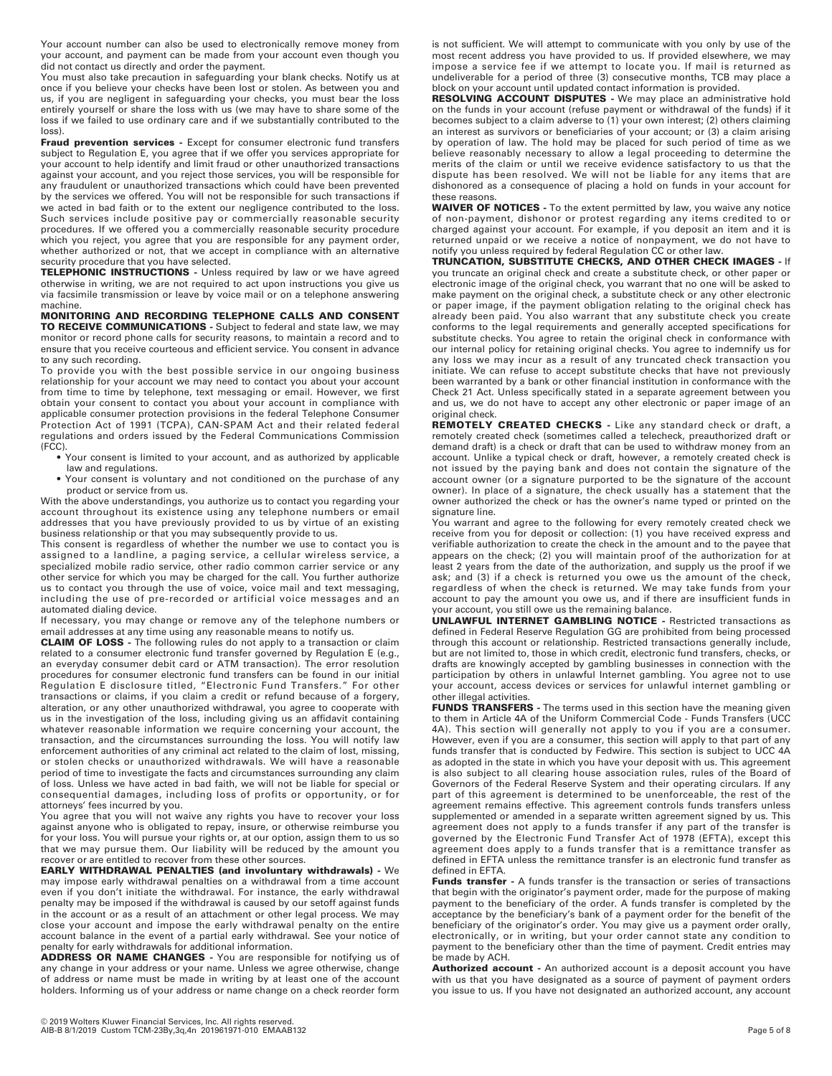Your account number can also be used to electronically remove money from your account, and payment can be made from your account even though you did not contact us directly and order the payment.

You must also take precaution in safeguarding your blank checks. Notify us at once if you believe your checks have been lost or stolen. As between you and us, if you are negligent in safeguarding your checks, you must bear the loss entirely yourself or share the loss with us (we may have to share some of the loss if we failed to use ordinary care and if we substantially contributed to the loss).

**Fraud prevention services -** Except for consumer electronic fund transfers subject to Regulation E, you agree that if we offer you services appropriate for your account to help identify and limit fraud or other unauthorized transactions against your account, and you reject those services, you will be responsible for any fraudulent or unauthorized transactions which could have been prevented by the services we offered. You will not be responsible for such transactions if we acted in bad faith or to the extent our negligence contributed to the loss. Such services include positive pay or commercially reasonable security procedures. If we offered you a commercially reasonable security procedure which you reject, you agree that you are responsible for any payment order, whether authorized or not, that we accept in compliance with an alternative security procedure that you have selected.

**TELEPHONIC INSTRUCTIONS -** Unless required by law or we have agreed otherwise in writing, we are not required to act upon instructions you give us via facsimile transmission or leave by voice mail or on a telephone answering machine.

**MONITORING AND RECORDING TELEPHONE CALLS AND CONSENT TO RECEIVE COMMUNICATIONS -** Subject to federal and state law, we may monitor or record phone calls for security reasons, to maintain a record and to ensure that you receive courteous and efficient service. You consent in advance to any such recording.

To provide you with the best possible service in our ongoing business relationship for your account we may need to contact you about your account from time to time by telephone, text messaging or email. However, we first obtain your consent to contact you about your account in compliance with applicable consumer protection provisions in the federal Telephone Consumer Protection Act of 1991 (TCPA), CAN-SPAM Act and their related federal regulations and orders issued by the Federal Communications Commission (FCC).

• Your consent is limited to your account, and as authorized by applicable law and regulations.

• Your consent is voluntary and not conditioned on the purchase of any product or service from us.

With the above understandings, you authorize us to contact you regarding your account throughout its existence using any telephone numbers or email addresses that you have previously provided to us by virtue of an existing business relationship or that you may subsequently provide to us.

This consent is regardless of whether the number we use to contact you is assigned to a landline, a paging service, a cellular wireless service, a specialized mobile radio service, other radio common carrier service or any other service for which you may be charged for the call. You further authorize us to contact you through the use of voice, voice mail and text messaging, including the use of pre-recorded or artificial voice messages and an automated dialing device.

If necessary, you may change or remove any of the telephone numbers or email addresses at any time using any reasonable means to notify us.

**CLAIM OF LOSS -** The following rules do not apply to a transaction or claim related to a consumer electronic fund transfer governed by Regulation E (e.g., an everyday consumer debit card or ATM transaction). The error resolution procedures for consumer electronic fund transfers can be found in our initial Regulation E disclosure titled, "Electronic Fund Transfers." For other transactions or claims, if you claim a credit or refund because of a forgery, alteration, or any other unauthorized withdrawal, you agree to cooperate with us in the investigation of the loss, including giving us an affidavit containing whatever reasonable information we require concerning your account, the transaction, and the circumstances surrounding the loss. You will notify law enforcement authorities of any criminal act related to the claim of lost, missing, or stolen checks or unauthorized withdrawals. We will have a reasonable period of time to investigate the facts and circumstances surrounding any claim of loss. Unless we have acted in bad faith, we will not be liable for special or consequential damages, including loss of profits or opportunity, or for attorneys' fees incurred by you.

You agree that you will not waive any rights you have to recover your loss against anyone who is obligated to repay, insure, or otherwise reimburse you for your loss. You will pursue your rights or, at our option, assign them to us so that we may pursue them. Our liability will be reduced by the amount you recover or are entitled to recover from these other sources.

**EARLY WITHDRAWAL PENALTIES (and involuntary withdrawals) -** We may impose early withdrawal penalties on a withdrawal from a time account even if you don't initiate the withdrawal. For instance, the early withdrawal penalty may be imposed if the withdrawal is caused by our setoff against funds in the account or as a result of an attachment or other legal process. We may close your account and impose the early withdrawal penalty on the entire account balance in the event of a partial early withdrawal. See your notice of penalty for early withdrawals for additional information.

**ADDRESS OR NAME CHANGES -** You are responsible for notifying us of any change in your address or your name. Unless we agree otherwise, change of address or name must be made in writing by at least one of the account holders. Informing us of your address or name change on a check reorder form is not sufficient. We will attempt to communicate with you only by use of the most recent address you have provided to us. If provided elsewhere, we may impose a service fee if we attempt to locate you. If mail is returned as undeliverable for a period of three (3) consecutive months, TCB may place a block on your account until updated contact information is provided.

**RESOLVING ACCOUNT DISPUTES -** We may place an administrative hold on the funds in your account (refuse payment or withdrawal of the funds) if it becomes subject to a claim adverse to (1) your own interest; (2) others claiming an interest as survivors or beneficiaries of your account; or (3) a claim arising by operation of law. The hold may be placed for such period of time as we believe reasonably necessary to allow a legal proceeding to determine the merits of the claim or until we receive evidence satisfactory to us that the dispute has been resolved. We will not be liable for any items that are dishonored as a consequence of placing a hold on funds in your account for these reasons.

**WAIVER OF NOTICES -** To the extent permitted by law, you waive any notice of non-payment, dishonor or protest regarding any items credited to or charged against your account. For example, if you deposit an item and it is returned unpaid or we receive a notice of nonpayment, we do not have to notify you unless required by federal Regulation CC or other law.

**TRUNCATION, SUBSTITUTE CHECKS, AND OTHER CHECK IMAGES -** If you truncate an original check and create a substitute check, or other paper or electronic image of the original check, you warrant that no one will be asked to make payment on the original check, a substitute check or any other electronic or paper image, if the payment obligation relating to the original check has already been paid. You also warrant that any substitute check you create conforms to the legal requirements and generally accepted specifications for substitute checks. You agree to retain the original check in conformance with our internal policy for retaining original checks. You agree to indemnify us for any loss we may incur as a result of any truncated check transaction you initiate. We can refuse to accept substitute checks that have not previously been warranted by a bank or other financial institution in conformance with the Check 21 Act. Unless specifically stated in a separate agreement between you and us, we do not have to accept any other electronic or paper image of an original check.

**REMOTELY CREATED CHECKS -** Like any standard check or draft, a remotely created check (sometimes called a telecheck, preauthorized draft or demand draft) is a check or draft that can be used to withdraw money from an account. Unlike a typical check or draft, however, a remotely created check is not issued by the paying bank and does not contain the signature of the account owner (or a signature purported to be the signature of the account owner). In place of a signature, the check usually has a statement that the owner authorized the check or has the owner's name typed or printed on the signature line.

You warrant and agree to the following for every remotely created check we receive from you for deposit or collection: (1) you have received express and verifiable authorization to create the check in the amount and to the payee that appears on the check; (2) you will maintain proof of the authorization for at least 2 years from the date of the authorization, and supply us the proof if we ask; and (3) if a check is returned you owe us the amount of the check, regardless of when the check is returned. We may take funds from your account to pay the amount you owe us, and if there are insufficient funds in your account, you still owe us the remaining balance.

**UNLAWFUL INTERNET GAMBLING NOTICE -** Restricted transactions as defined in Federal Reserve Regulation GG are prohibited from being processed through this account or relationship. Restricted transactions generally include, but are not limited to, those in which credit, electronic fund transfers, checks, or drafts are knowingly accepted by gambling businesses in connection with the participation by others in unlawful Internet gambling. You agree not to use your account, access devices or services for unlawful internet gambling or other illegal activities.

**FUNDS TRANSFERS -** The terms used in this section have the meaning given to them in Article 4A of the Uniform Commercial Code - Funds Transfers (UCC 4A). This section will generally not apply to you if you are a consumer. However, even if you are a consumer, this section will apply to that part of any funds transfer that is conducted by Fedwire. This section is subject to UCC 4A as adopted in the state in which you have your deposit with us. This agreement is also subject to all clearing house association rules, rules of the Board of Governors of the Federal Reserve System and their operating circulars. If any part of this agreement is determined to be unenforceable, the rest of the agreement remains effective. This agreement controls funds transfers unless supplemented or amended in a separate written agreement signed by us. This agreement does not apply to a funds transfer if any part of the transfer is governed by the Electronic Fund Transfer Act of 1978 (EFTA), except this agreement does apply to a funds transfer that is a remittance transfer as defined in EFTA unless the remittance transfer is an electronic fund transfer as defined in EFTA.

**Funds transfer -** A funds transfer is the transaction or series of transactions that begin with the originator's payment order, made for the purpose of making payment to the beneficiary of the order. A funds transfer is completed by the acceptance by the beneficiary's bank of a payment order for the benefit of the beneficiary of the originator's order. You may give us a payment order orally, electronically, or in writing, but your order cannot state any condition to payment to the beneficiary other than the time of payment. Credit entries may be made by ACH.

**Authorized account -** An authorized account is a deposit account you have with us that you have designated as a source of payment of payment orders you issue to us. If you have not designated an authorized account, any account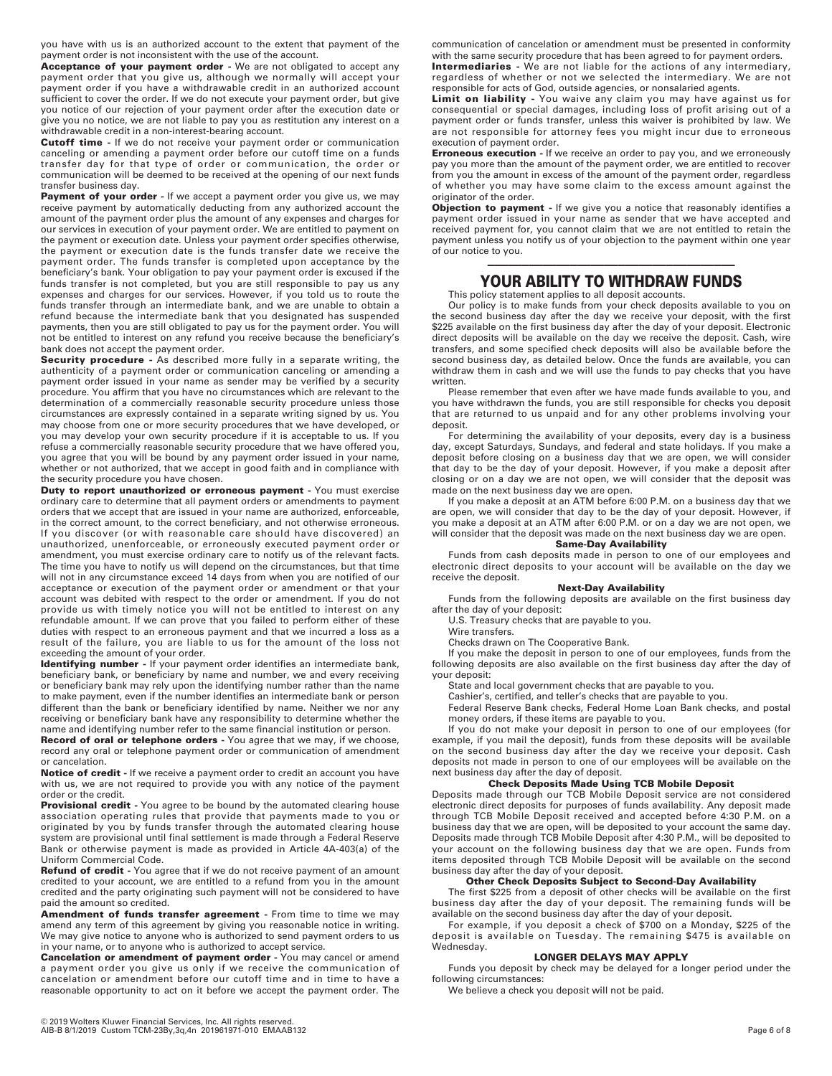you have with us is an authorized account to the extent that payment of the payment order is not inconsistent with the use of the account.

**Acceptance of your payment order -** We are not obligated to accept any payment order that you give us, although we normally will accept your payment order if you have a withdrawable credit in an authorized account sufficient to cover the order. If we do not execute your payment order, but give you notice of our rejection of your payment order after the execution date or give you no notice, we are not liable to pay you as restitution any interest on a withdrawable credit in a non-interest-bearing account.

**Cutoff time -** If we do not receive your payment order or communication canceling or amending a payment order before our cutoff time on a funds transfer day for that type of order or communication, the order or communication will be deemed to be received at the opening of our next funds transfer business day.

Payment of your order - If we accept a payment order you give us, we may receive payment by automatically deducting from any authorized account the amount of the payment order plus the amount of any expenses and charges for our services in execution of your payment order. We are entitled to payment on the payment or execution date. Unless your payment order specifies otherwise, the payment or execution date is the funds transfer date we receive the payment order. The funds transfer is completed upon acceptance by the beneficiary's bank. Your obligation to pay your payment order is excused if the funds transfer is not completed, but you are still responsible to pay us any expenses and charges for our services. However, if you told us to route the funds transfer through an intermediate bank, and we are unable to obtain a refund because the intermediate bank that you designated has suspended payments, then you are still obligated to pay us for the payment order. You will not be entitled to interest on any refund you receive because the beneficiary's bank does not accept the payment order.

**Security procedure -** As described more fully in a separate writing, the authenticity of a payment order or communication canceling or amending a payment order issued in your name as sender may be verified by a security procedure. You affirm that you have no circumstances which are relevant to the determination of a commercially reasonable security procedure unless those circumstances are expressly contained in a separate writing signed by us. You may choose from one or more security procedures that we have developed, or you may develop your own security procedure if it is acceptable to us. If you refuse a commercially reasonable security procedure that we have offered you, you agree that you will be bound by any payment order issued in your name, whether or not authorized, that we accept in good faith and in compliance with the security procedure you have chosen.

**Duty to report unauthorized or erroneous payment - You must exercise** ordinary care to determine that all payment orders or amendments to payment orders that we accept that are issued in your name are authorized, enforceable, in the correct amount, to the correct beneficiary, and not otherwise erroneous. If you discover (or with reasonable care should have discovered) an unauthorized, unenforceable, or erroneously executed payment order or amendment, you must exercise ordinary care to notify us of the relevant facts. The time you have to notify us will depend on the circumstances, but that time will not in any circumstance exceed 14 days from when you are notified of our acceptance or execution of the payment order or amendment or that your account was debited with respect to the order or amendment. If you do not provide us with timely notice you will not be entitled to interest on any refundable amount. If we can prove that you failed to perform either of these duties with respect to an erroneous payment and that we incurred a loss as a result of the failure, you are liable to us for the amount of the loss not exceeding the amount of your order.

**Identifying number -** If your payment order identifies an intermediate bank, beneficiary bank, or beneficiary by name and number, we and every receiving or beneficiary bank may rely upon the identifying number rather than the name to make payment, even if the number identifies an intermediate bank or person different than the bank or beneficiary identified by name. Neither we nor any receiving or beneficiary bank have any responsibility to determine whether the name and identifying number refer to the same financial institution or person.

**Record of oral or telephone orders -** You agree that we may, if we choose, record any oral or telephone payment order or communication of amendment or cancelation.

**Notice of credit -** If we receive a payment order to credit an account you have with us, we are not required to provide you with any notice of the payment order or the credit.

**Provisional credit -** You agree to be bound by the automated clearing house association operating rules that provide that payments made to you or originated by you by funds transfer through the automated clearing house system are provisional until final settlement is made through a Federal Reserve Bank or otherwise payment is made as provided in Article 4A-403(a) of the Uniform Commercial Code.

**Refund of credit -** You agree that if we do not receive payment of an amount credited to your account, we are entitled to a refund from you in the amount credited and the party originating such payment will not be considered to have paid the amount so credited.

**Amendment of funds transfer agreement -** From time to time we may amend any term of this agreement by giving you reasonable notice in writing. We may give notice to anyone who is authorized to send payment orders to us in your name, or to anyone who is authorized to accept service.

**Cancelation or amendment of payment order -** You may cancel or amend a payment order you give us only if we receive the communication of cancelation or amendment before our cutoff time and in time to have a reasonable opportunity to act on it before we accept the payment order. The

communication of cancelation or amendment must be presented in conformity with the same security procedure that has been agreed to for payment orders.

**Intermediaries -** We are not liable for the actions of any intermediary, regardless of whether or not we selected the intermediary. We are not responsible for acts of God, outside agencies, or nonsalaried agents.

**Limit on liability -** You waive any claim you may have against us for consequential or special damages, including loss of profit arising out of a payment order or funds transfer, unless this waiver is prohibited by law. We are not responsible for attorney fees you might incur due to erroneous execution of payment order.

**Erroneous execution -** If we receive an order to pay you, and we erroneously pay you more than the amount of the payment order, we are entitled to recover from you the amount in excess of the amount of the payment order, regardless of whether you may have some claim to the excess amount against the originator of the order.

**Objection to payment -** If we give you a notice that reasonably identifies a payment order issued in your name as sender that we have accepted and received payment for, you cannot claim that we are not entitled to retain the payment unless you notify us of your objection to the payment within one year of our notice to you.

# ———————————————————————————————————— **YOUR ABILITY TO WITHDRAW FUNDS**

This policy statement applies to all deposit accounts.

Our policy is to make funds from your check deposits available to you on the second business day after the day we receive your deposit, with the first \$225 available on the first business day after the day of your deposit. Electronic direct deposits will be available on the day we receive the deposit. Cash, wire transfers, and some specified check deposits will also be available before the second business day, as detailed below. Once the funds are available, you can withdraw them in cash and we will use the funds to pay checks that you have written.

Please remember that even after we have made funds available to you, and you have withdrawn the funds, you are still responsible for checks you deposit that are returned to us unpaid and for any other problems involving your deposit.

For determining the availability of your deposits, every day is a business day, except Saturdays, Sundays, and federal and state holidays. If you make a deposit before closing on a business day that we are open, we will consider that day to be the day of your deposit. However, if you make a deposit after closing or on a day we are not open, we will consider that the deposit was made on the next business day we are open.

If you make a deposit at an ATM before 6:00 P.M. on a business day that we are open, we will consider that day to be the day of your deposit. However, if you make a deposit at an ATM after 6:00 P.M. or on a day we are not open, we will consider that the deposit was made on the next business day we are open.

# **Same-Day Availability**

Funds from cash deposits made in person to one of our employees and electronic direct deposits to your account will be available on the day we receive the deposit.

# **Next-Day Availability**

Funds from the following deposits are available on the first business day after the day of your deposit:

U.S. Treasury checks that are payable to you.

Wire transfers.

Checks drawn on The Cooperative Bank.

If you make the deposit in person to one of our employees, funds from the following deposits are also available on the first business day after the day of your deposit:

State and local government checks that are payable to you.

Cashier's, certified, and teller's checks that are payable to you.

Federal Reserve Bank checks, Federal Home Loan Bank checks, and postal money orders, if these items are payable to you.

If you do not make your deposit in person to one of our employees (for example, if you mail the deposit), funds from these deposits will be available on the second business day after the day we receive your deposit. Cash deposits not made in person to one of our employees will be available on the next business day after the day of deposit.

# **Check Deposits Made Using TCB Mobile Deposit**

Deposits made through our TCB Mobile Deposit service are not considered electronic direct deposits for purposes of funds availability. Any deposit made through TCB Mobile Deposit received and accepted before 4:30 P.M. on a business day that we are open, will be deposited to your account the same day. Deposits made through TCB Mobile Deposit after 4:30 P.M., will be deposited to your account on the following business day that we are open. Funds from items deposited through TCB Mobile Deposit will be available on the second business day after the day of your deposit.

### **Other Check Deposits Subject to Second-Day Availability**

The first \$225 from a deposit of other checks will be available on the first business day after the day of your deposit. The remaining funds will be available on the second business day after the day of your deposit.

For example, if you deposit a check of \$700 on a Monday, \$225 of the deposit is available on Tuesday. The remaining \$475 is available on Wednesday.

## **LONGER DELAYS MAY APPLY**

Funds you deposit by check may be delayed for a longer period under the following circumstances:

We believe a check you deposit will not be paid.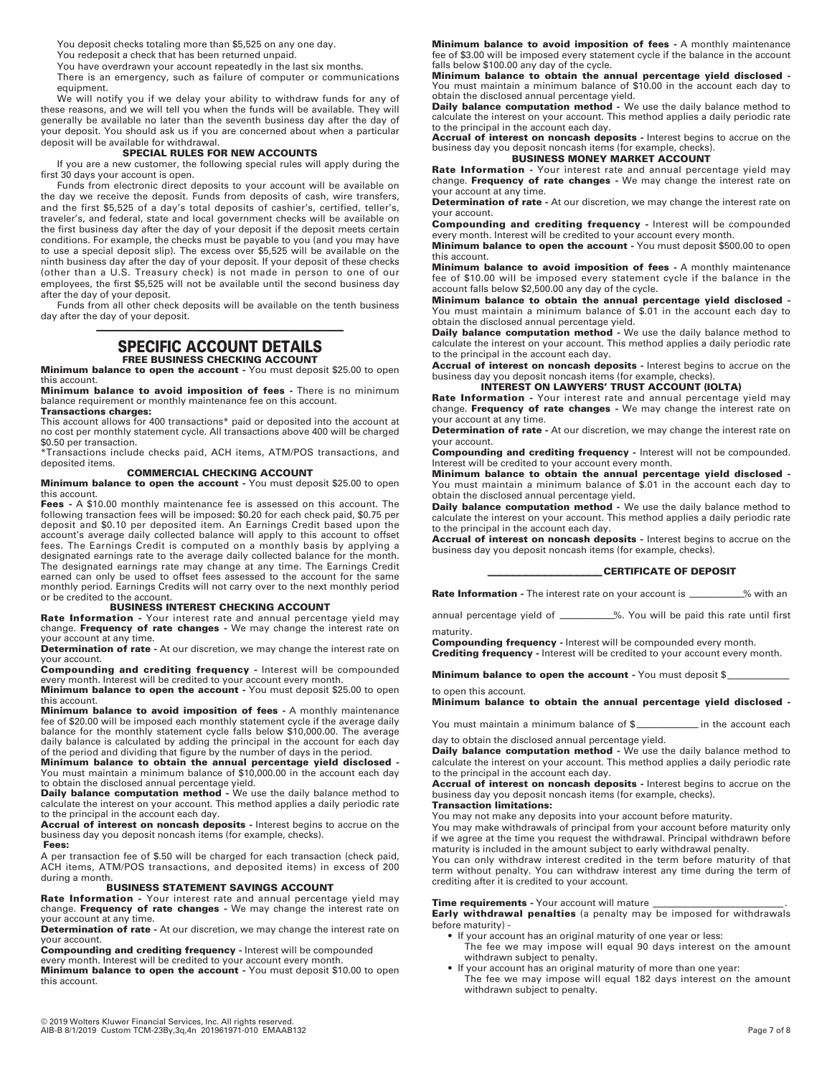You deposit checks totaling more than \$5,525 on any one day.

You redeposit a check that has been returned unpaid.

You have overdrawn your account repeatedly in the last six months.

There is an emergency, such as failure of computer or communications equipment.

We will notify you if we delay your ability to withdraw funds for any of these reasons, and we will tell you when the funds will be available. They will generally be available no later than the seventh business day after the day of your deposit. You should ask us if you are concerned about when a particular deposit will be available for withdrawal.

#### **SPECIAL RULES FOR NEW ACCOUNTS**

If you are a new customer, the following special rules will apply during the first 30 days your account is open.

Funds from electronic direct deposits to your account will be available on the day we receive the deposit. Funds from deposits of cash, wire transfers, and the first \$5,525 of a day's total deposits of cashier's, certified, teller's, traveler's, and federal, state and local government checks will be available on the first business day after the day of your deposit if the deposit meets certain conditions. For example, the checks must be payable to you (and you may have to use a special deposit slip). The excess over \$5,525 will be available on the ninth business day after the day of your deposit. If your deposit of these checks (other than a U.S. Treasury check) is not made in person to one of our employees, the first \$5,525 will not be available until the second business day after the day of your deposit.

Funds from all other check deposits will be available on the tenth business day after the day of your deposit.

# ———————————————————————————————————— **SPECIFIC ACCOUNT DETAILS**

#### **FREE BUSINESS CHECKING ACCOUNT Minimum balance to open the account -** You must deposit \$25.00 to open

this account. **Minimum balance to avoid imposition of fees -** There is no minimum

balance requirement or monthly maintenance fee on this account. **Transactions charges:** 

This account allows for 400 transactions\* paid or deposited into the account at no cost per monthly statement cycle. All transactions above 400 will be charged \$0.50 per transaction.

\*Transactions include checks paid, ACH items, ATM/POS transactions, and deposited items.

### **COMMERCIAL CHECKING ACCOUNT**

**Minimum balance to open the account -** You must deposit \$25.00 to open this account.

**Fees -** A \$10.00 monthly maintenance fee is assessed on this account. The following transaction fees will be imposed: \$0.20 for each check paid, \$0.75 per deposit and \$0.10 per deposited item. An Earnings Credit based upon the account's average daily collected balance will apply to this account to offset fees. The Earnings Credit is computed on a monthly basis by applying a designated earnings rate to the average daily collected balance for the month. The designated earnings rate may change at any time. The Earnings Credit earned can only be used to offset fees assessed to the account for the same monthly period. Earnings Credits will not carry over to the next monthly period or be credited to the account.

# **BUSINESS INTEREST CHECKING ACCOUNT**

**Rate Information -** Your interest rate and annual percentage yield may change. **Frequency of rate changes -** We may change the interest rate on your account at any time.

**Determination of rate -** At our discretion, we may change the interest rate on your account.

**Compounding and crediting frequency -** Interest will be compounded every month. Interest will be credited to your account every month.

**Minimum balance to open the account -** You must deposit \$25.00 to open this account.

**Minimum balance to avoid imposition of fees -** A monthly maintenance fee of \$20.00 will be imposed each monthly statement cycle if the average daily balance for the monthly statement cycle falls below \$10,000.00. The average daily balance is calculated by adding the principal in the account for each day of the period and dividing that figure by the number of days in the period.

**Minimum balance to obtain the annual percentage yield disclosed -** You must maintain a minimum balance of \$10,000.00 in the account each day

to obtain the disclosed annual percentage yield. **Daily balance computation method -** We use the daily balance method to calculate the interest on your account. This method applies a daily periodic rate to the principal in the account each day.

**Accrual of interest on noncash deposits -** Interest begins to accrue on the business day you deposit noncash items (for example, checks).

**Fees:**

A per transaction fee of \$.50 will be charged for each transaction (check paid, ACH items, ATM/POS transactions, and deposited items) in excess of 200 during a month.

## **BUSINESS STATEMENT SAVINGS ACCOUNT**

**Rate Information -** Your interest rate and annual percentage yield may change. **Frequency of rate changes -** We may change the interest rate on your account at any time.

**Determination of rate -** At our discretion, we may change the interest rate on your account.

**Compounding and crediting frequency -** Interest will be compounded every month. Interest will be credited to your account every month.

**Minimum balance to open the account -** You must deposit \$10.00 to open this account.

**Minimum balance to avoid imposition of fees -** A monthly maintenance fee of \$3.00 will be imposed every statement cycle if the balance in the account falls below \$100.00 any day of the cycle.

**Minimum balance to obtain the annual percentage yield disclosed -** You must maintain a minimum balance of \$10.00 in the account each day to obtain the disclosed annual percentage yield.

**Daily balance computation method -** We use the daily balance method to calculate the interest on your account. This method applies a daily periodic rate to the principal in the account each day. **Accrual of interest on noncash deposits -** Interest begins to accrue on the

business day you deposit noncash items (for example, checks). **BUSINESS MONEY MARKET ACCOUNT** 

**Rate Information -** Your interest rate and annual percentage yield may change. **Frequency of rate changes -** We may change the interest rate on your account at any time.

**Determination of rate -** At our discretion, we may change the interest rate on your account.

**Compounding and crediting frequency -** Interest will be compounded every month. Interest will be credited to your account every month.

**Minimum balance to open the account -** You must deposit \$500.00 to open this account.

**Minimum balance to avoid imposition of fees -** A monthly maintenance fee of \$10.00 will be imposed every statement cycle if the balance in the account falls below \$2,500.00 any day of the cycle.

**Minimum balance to obtain the annual percentage yield disclosed -** You must maintain a minimum balance of \$.01 in the account each day to obtain the disclosed annual percentage yield.

**Daily balance computation method -** We use the daily balance method to calculate the interest on your account. This method applies a daily periodic rate to the principal in the account each day.

**Accrual of interest on noncash deposits -** Interest begins to accrue on the business day you deposit noncash items (for example, checks).

# **INTEREST ON LAWYERS' TRUST ACCOUNT (IOLTA)**

**Rate Information -** Your interest rate and annual percentage yield may change. **Frequency of rate changes -** We may change the interest rate on your account at any time.

**Determination of rate -** At our discretion, we may change the interest rate on your account.

**Compounding and crediting frequency -** Interest will not be compounded. Interest will be credited to your account every month.

**Minimum balance to obtain the annual percentage yield disclosed -**  You must maintain a minimum balance of \$.01 in the account each day to obtain the disclosed annual percentage yield.

**Daily balance computation method -** We use the daily balance method to calculate the interest on your account. This method applies a daily periodic rate to the principal in the account each day.

**Accrual of interest on noncash deposits -** Interest begins to accrue on the business day you deposit noncash items (for example, checks).

#### **—————————————————— CERTIFICATE OF DEPOSIT**

**Rate Information -** The interest rate on your account is  $\%$  with an

annual percentage yield of \_\_\_\_\_\_\_\_\_\_%. You will be paid this rate until first maturity.

**Compounding frequency -** Interest will be compounded every month.

**Crediting frequency -** Interest will be credited to your account every month.

**Minimum balance to open the account -** You must deposit \$\_

to open this account. **Minimum balance to obtain the annual percentage yield disclosed -**

You must maintain a minimum balance of \$\_\_\_\_\_\_\_\_\_\_\_\_ in the account each

day to obtain the disclosed annual percentage yield.

**Daily balance computation method -** We use the daily balance method to calculate the interest on your account. This method applies a daily periodic rate to the principal in the account each day.

**Accrual of interest on noncash deposits -** Interest begins to accrue on the business day you deposit noncash items (for example, checks). **Transaction limitations:**

You may not make any deposits into your account before maturity.

You may make withdrawals of principal from your account before maturity only if we agree at the time you request the withdrawal. Principal withdrawn before maturity is included in the amount subject to early withdrawal penalty.

You can only withdraw interest credited in the term before maturity of that term without penalty. You can withdraw interest any time during the term of crediting after it is credited to your account.

#### **Time requirements - Your account will mature**

**Early withdrawal penalties** (a penalty may be imposed for withdrawals before maturity) -

- If your account has an original maturity of one year or less:
- The fee we may impose will equal 90 days interest on the amount withdrawn subject to penalty.
- If your account has an original maturity of more than one year: The fee we may impose will equal 182 days interest on the amount withdrawn subject to penalty.